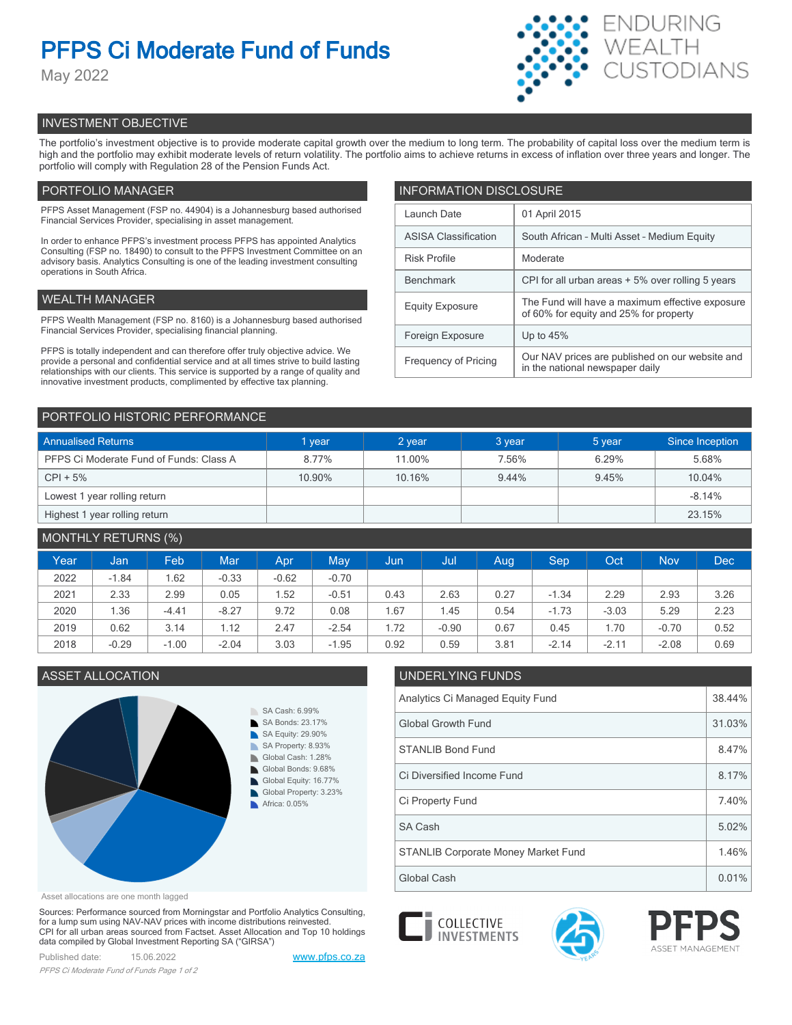# **PFPS Ci Moderate Fund of Funds**

May 2022



# INVESTMENT OBJECTIVE

The portfolio's investment objective is to provide moderate capital growth over the medium to long term. The probability of capital loss over the medium term is high and the portfolio may exhibit moderate levels of return volatility. The portfolio aims to achieve returns in excess of inflation over three years and longer. The portfolio will comply with Regulation 28 of the Pension Funds Act.

# PORTFOLIO MANAGER

PFPS Asset Management (FSP no. 44904) is a Johannesburg based authorised Financial Services Provider, specialising in asset management.

In order to enhance PFPS's investment process PFPS has appointed Analytics Consulting (FSP no. 18490) to consult to the PFPS Investment Committee on an advisory basis. Analytics Consulting is one of the leading investment consulting operations in South Africa.

# WEALTH MANAGER

PFPS Wealth Management (FSP no. 8160) is a Johannesburg based authorised Financial Services Provider, specialising financial planning.

PFPS is totally independent and can therefore offer truly objective advice. We provide a personal and confidential service and at all times strive to build lasting relationships with our clients. This service is supported by a range of quality and innovative investment products, complimented by effective tax planning.

| <b>INFORMATION DISCLOSURE</b> |                                                                                           |  |  |  |  |
|-------------------------------|-------------------------------------------------------------------------------------------|--|--|--|--|
| Launch Date                   | 01 April 2015                                                                             |  |  |  |  |
| <b>ASISA Classification</b>   | South African - Multi Asset - Medium Equity                                               |  |  |  |  |
| <b>Risk Profile</b>           | Moderate                                                                                  |  |  |  |  |
| <b>Benchmark</b>              | CPI for all urban areas + 5% over rolling 5 years                                         |  |  |  |  |
| <b>Equity Exposure</b>        | The Fund will have a maximum effective exposure<br>of 60% for equity and 25% for property |  |  |  |  |
| Foreign Exposure              | Up to $45%$                                                                               |  |  |  |  |
| <b>Frequency of Pricing</b>   | Our NAV prices are published on our website and<br>in the national newspaper daily        |  |  |  |  |

# PORTFOLIO HISTORIC PERFORMANCE

| <b>Annualised Returns</b>               | vear   | 2 year | 3 year | 5 year | Since Inception |
|-----------------------------------------|--------|--------|--------|--------|-----------------|
| PFPS Ci Moderate Fund of Funds: Class A | 8.77%  | 11.00% | 7.56%  | 6.29%  | 5.68%           |
| $CPI + 5%$                              | 10.90% | 10.16% | 9.44%  | 9.45%  | 10.04%          |
| Lowest 1 year rolling return            |        |        |        |        | $-8.14%$        |
| Highest 1 year rolling return           |        |        |        |        | 23.15%          |

| <b>MONTHLY RETURNS (%)</b> |         |         |            |         |         |       |         |      |         |         |            |            |
|----------------------------|---------|---------|------------|---------|---------|-------|---------|------|---------|---------|------------|------------|
| Year                       | Jan     | Feb.    | <b>Mar</b> | Apr     | May     | IJun. | Jul     | Aug  | Sep     | Oct     | <b>Nov</b> | <b>Dec</b> |
| 2022                       | $-1.84$ | 1.62    | $-0.33$    | $-0.62$ | $-0.70$ |       |         |      |         |         |            |            |
| 2021                       | 2.33    | 2.99    | 0.05       | 1.52    | $-0.51$ | 0.43  | 2.63    | 0.27 | $-1.34$ | 2.29    | 2.93       | 3.26       |
| 2020                       | 1.36    | $-4.41$ | $-8.27$    | 9.72    | 0.08    | i.67  | 1.45    | 0.54 | $-1.73$ | $-3.03$ | 5.29       | 2.23       |
| 2019                       | 0.62    | 3.14    | 1.12       | 2.47    | $-2.54$ | 1.72  | $-0.90$ | 0.67 | 0.45    | 1.70    | $-0.70$    | 0.52       |
| 2018                       | $-0.29$ | $-1.00$ | $-2.04$    | 3.03    | $-1.95$ | 0.92  | 0.59    | 3.81 | $-2.14$ | $-2.11$ | $-2.08$    | 0.69       |

# ASSET ALLOCATION UNDERLYING FUNDS



| Analytics Ci Managed Equity Fund           |        |  |
|--------------------------------------------|--------|--|
| <b>Global Growth Fund</b>                  | 31.03% |  |
| <b>STANLIB Bond Fund</b>                   | 8.47%  |  |
| Ci Diversified Income Fund                 | 8.17%  |  |
| Ci Property Fund                           | 7.40%  |  |
| SA Cash                                    | 5.02%  |  |
| <b>STANLIB Corporate Money Market Fund</b> | 1.46%  |  |
| Global Cash                                | 0.01%  |  |



Sources: Performance sourced from Morningstar and Portfolio Analytics Consulting, for a lump sum using NAV-NAV prices with income distributions reinvested. CPI for all urban areas sourced from Factset. Asset Allocation and Top 10 holdings data compiled by Global Investment Reporting SA ("GIRSA")

Published date: 15.06.2022 [www.pfps.co.za](https://www.pfps.co.za/) *PFPS Ci Moderate Fund of Funds Page 1 of 2*